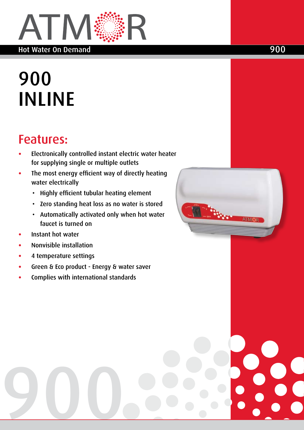

# 900 INLINE

# :Features

- **Electronically controlled instant electric water heater** for supplying single or multiple outlets
- The most energy efficient way of directly heating water electrically
	- Highly efficient tubular heating element
	- Zero standing heat loss as no water is stored
	- Automatically activated only when hot water faucet is turned on
- **Instant hot water**
- **Nonvisible** installation
- 4 temperature settings

900

- Green & Eco product Energy & water saver
- Complies with international standards